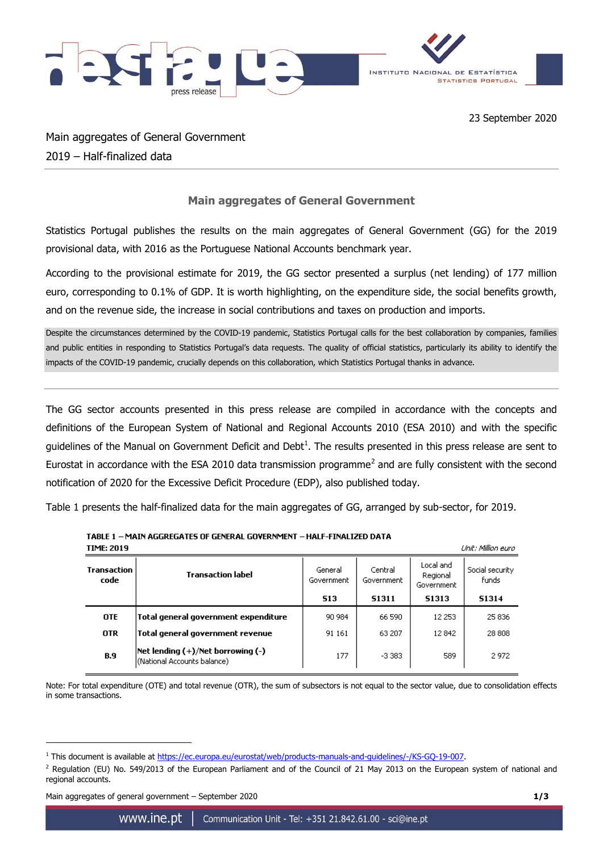

Main aggregates of General Government 2019 – Half-finalized data

## **Main aggregates of General Government**

Statistics Portugal publishes the results on the main aggregates of General Government (GG) for the 2019 provisional data, with 2016 as the Portuguese National Accounts benchmark year.

According to the provisional estimate for 2019, the GG sector presented a surplus (net lending) of 177 million euro, corresponding to 0.1% of GDP. It is worth highlighting, on the expenditure side, the social benefits growth, and on the revenue side, the increase in social contributions and taxes on production and imports.

Despite the circumstances determined by the COVID-19 pandemic, Statistics Portugal calls for the best collaboration by companies, families and public entities in responding to Statistics Portugal's data requests. The quality of official statistics, particularly its ability to identify the impacts of the COVID-19 pandemic, crucially depends on this collaboration, which Statistics Portugal thanks in advance.

The GG sector accounts presented in this press release are compiled in accordance with the concepts and definitions of the European System of National and Regional Accounts 2010 (ESA 2010) and with the specific guidelines of the Manual on Government Deficit and Debt<sup>1</sup>. The results presented in this press release are sent to Eurostat in accordance with the ESA 2010 data transmission programme<sup>2</sup> and are fully consistent with the second notification of 2020 for the Excessive Deficit Procedure (EDP), also published today.

Table 1 presents the half-finalized data for the main aggregates of GG, arranged by sub-sector, for 2019.

| TIME: 2019<br>Unit: Million euro |                                                                   |                       |                       |                                     |                                 |
|----------------------------------|-------------------------------------------------------------------|-----------------------|-----------------------|-------------------------------------|---------------------------------|
| Transaction<br>code              | <b>Transaction label</b>                                          | General<br>Government | Central<br>Government | Local and<br>Regional<br>Government | Social security<br><b>funds</b> |
|                                  |                                                                   | 513                   | 51311                 | 51313                               | 51314                           |
| <b>OTE</b>                       | Total general government expenditure                              | 90 984                | 66 590                | 12 253                              | 25 836                          |
| 0TR                              | Total general government revenue                                  | 91 161                | 63 207                | 12842                               | 28 808                          |
| <b>B.9</b>                       | Net lending (+)/Net borrowing (-)<br>(National Accounts balance). | 177                   | $-3383$               | 589                                 | 2972                            |

TABLE 1 - MAIN AGGREGATES OF GENERAL GOVERNMENT - HALF-FINALIZED DATA

Note: For total expenditure (OTE) and total revenue (OTR), the sum of subsectors is not equal to the sector value, due to consolidation effects in some transactions.

Main aggregates of general government – September 2020 **1/3**

1

<sup>&</sup>lt;sup>1</sup> This document is available at [https://ec.europa.eu/eurostat/web/products-manuals-and-guidelines/-/KS-GQ-19-007.](https://ec.europa.eu/eurostat/web/products-manuals-and-guidelines/-/KS-GQ-19-007)

<sup>&</sup>lt;sup>2</sup> Regulation (EU) No. 549/2013 of the European Parliament and of the Council of 21 May 2013 on the European system of national and regional accounts.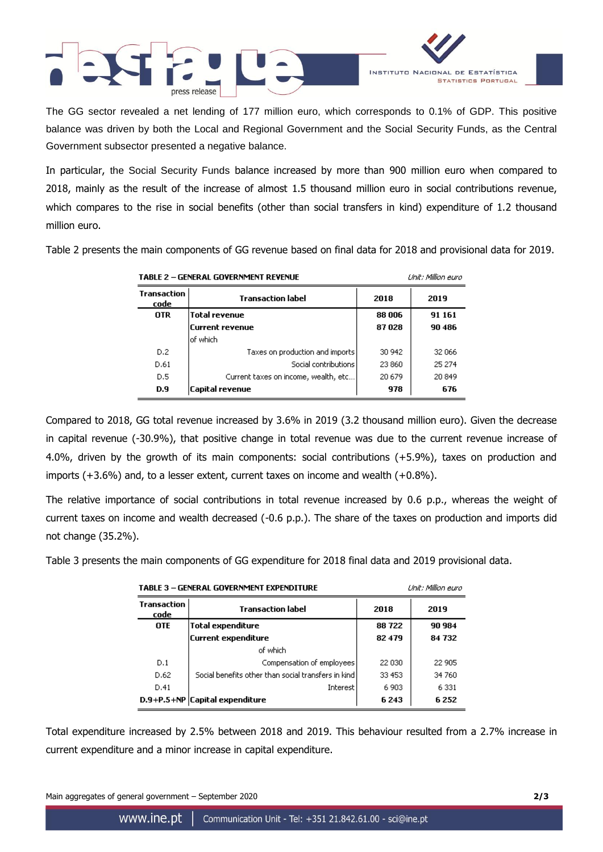



The GG sector revealed a net lending of 177 million euro, which corresponds to 0.1% of GDP. This positive balance was driven by both the Local and Regional Government and the Social Security Funds, as the Central Government subsector presented a negative balance.

In particular, the Social Security Funds balance increased by more than 900 million euro when compared to 2018, mainly as the result of the increase of almost 1.5 thousand million euro in social contributions revenue, which compares to the rise in social benefits (other than social transfers in kind) expenditure of 1.2 thousand million euro.

Table 2 presents the main components of GG revenue based on final data for 2018 and provisional data for 2019.

| <b>TABLE 2 - GENERAL GOVERNMENT REVENUE</b> |                                      |        | Unit: Million euro |  |
|---------------------------------------------|--------------------------------------|--------|--------------------|--|
| Transaction<br>code                         | <b>Transaction label</b>             | 2018   | 2019               |  |
| <b>OTR</b>                                  | Total revenue                        | 88 006 | 91 161             |  |
|                                             | Current revenue                      | 87028  | 90 486             |  |
|                                             | lof which.                           |        |                    |  |
| D.2                                         | Taxes on production and imports      | 30 942 | 32 066             |  |
| D.61                                        | Social contributions                 | 23 860 | 25 274             |  |
| D.5                                         | Current taxes on income, wealth, etc | 20 679 | 20849              |  |
| D.9                                         | Capital revenue                      | 978    | 676                |  |

Compared to 2018, GG total revenue increased by 3.6% in 2019 (3.2 thousand million euro). Given the decrease in capital revenue (-30.9%), that positive change in total revenue was due to the current revenue increase of 4.0%, driven by the growth of its main components: social contributions (+5.9%), taxes on production and imports (+3.6%) and, to a lesser extent, current taxes on income and wealth (+0.8%).

The relative importance of social contributions in total revenue increased by 0.6 p.p., whereas the weight of current taxes on income and wealth decreased (-0.6 p.p.). The share of the taxes on production and imports did not change (35.2%).

 $\cdots$   $\cdots$ 

Table 3 presents the main components of GG expenditure for 2018 final data and 2019 provisional data.

| TABLE 3 – GENERAL GOVERNMENT EXPENDITURE |                                                       |         | Unit: Million euro |
|------------------------------------------|-------------------------------------------------------|---------|--------------------|
| Transaction<br>code                      | <b>Transaction label</b>                              | 2018    | 2019               |
| <b>OTE</b>                               | <b>Total expenditure</b>                              | 88722   | 90 984             |
|                                          | <b>Current expenditure</b>                            | 82 479  | 84 732             |
|                                          | of which                                              |         |                    |
| D.1                                      | Compensation of employees                             | 22 030  | 22 905             |
| D.62                                     | Social benefits other than social transfers in kind ! | 33 453  | 34 760             |
| D.41                                     | <b>Interest</b>                                       | 6 9 0 3 | 6 3 3 1            |
|                                          | D.9+P.5+NP Capital expenditure                        | 6 2 4 3 | 6252               |

Total expenditure increased by 2.5% between 2018 and 2019. This behaviour resulted from a 2.7% increase in current expenditure and a minor increase in capital expenditure.

Main aggregates of general government – September 2020 **2/3**